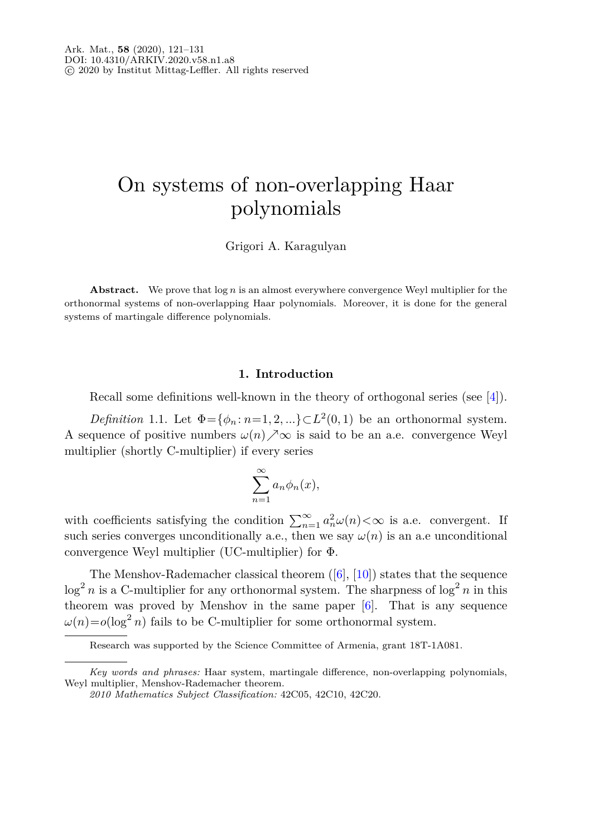# On systems of non-overlapping Haar polynomials

Grigori A. Karagulyan

**Abstract.** We prove that log *n* is an almost everywhere convergence Weyl multiplier for the orthonormal systems of non-overlapping Haar polynomials. Moreover, it is done for the general systems of martingale difference polynomials.

#### **1. Introduction**

Recall some definitions well-known in the theory of orthogonal series (see [\[4](#page-9-0)]).

*Definition* 1.1. Let  $\Phi = {\phi_n : n = 1, 2, ...} \subset L^2(0, 1)$  be an orthonormal system. A sequence of positive numbers  $\omega(n) \nearrow \infty$  is said to be an a.e. convergence Weyl multiplier (shortly C-multiplier) if every series

$$
\sum_{n=1}^{\infty} a_n \phi_n(x),
$$

with coefficients satisfying the condition  $\sum_{n=1}^{\infty} a_n^2 \omega(n) < \infty$  is a.e. convergent. If such series converges unconditionally a.e., then we say  $\omega(n)$  is an a.e unconditional convergence Weyl multiplier (UC-multiplier) for Φ.

The Menshov-Rademacher classical theorem ([\[6\]](#page-10-0), [\[10\]](#page-10-1)) states that the sequence  $\log^2 n$  is a C-multiplier for any orthonormal system. The sharpness of  $\log^2 n$  in this theorem was proved by Menshov in the same paper [\[6\]](#page-10-0). That is any sequence  $\omega(n) = o(\log^2 n)$  fails to be C-multiplier for some orthonormal system.

Research was supported by the Science Committee of Armenia, grant 18T-1A081.

*Key words and phrases:* Haar system, martingale difference, non-overlapping polynomials, Weyl multiplier, Menshov-Rademacher theorem.

*<sup>2010</sup> Mathematics Subject Classification:* 42C05, 42C10, 42C20.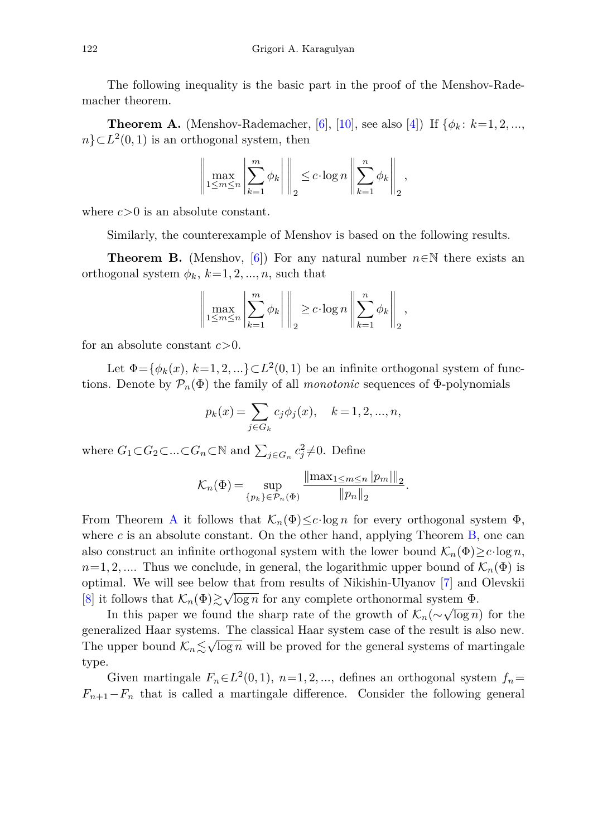The following inequality is the basic part in the proof of the Menshov-Rademacher theorem.

<span id="page-1-0"></span>**Theorem A.** (Menshov-Rademacher, [\[6](#page-10-0)], [\[10\]](#page-10-1), see also [\[4\]](#page-9-0)) If  $\{\phi_k : k=1, 2, ...,$  $n$ } $\subset L^2(0,1)$  is an orthogonal system, then

$$
\left\|\max_{1\leq m\leq n}\left|\sum_{k=1}^m\phi_k\right|\right\|_2\leq c\cdot\log n\left\|\sum_{k=1}^n\phi_k\right\|_2,
$$

where *c>*0 is an absolute constant.

Similarly, the counterexample of Menshov is based on the following results.

<span id="page-1-1"></span>**Theorem B.** (Menshov, [\[6](#page-10-0)]) For any natural number  $n \in \mathbb{N}$  there exists an orthogonal system  $\phi_k$ ,  $k=1,2,\dots,n$ , such that

$$
\left\|\max_{1\leq m\leq n}\left|\sum_{k=1}^m\phi_k\right|\right\|_2\geq c\cdot\log n\left\|\sum_{k=1}^n\phi_k\right\|_2,
$$

for an absolute constant *c>*0.

Let  $\Phi = {\phi_k(x), k=1,2,...} \subset L^2(0,1)$  be an infinite orthogonal system of functions. Denote by  $\mathcal{P}_n(\Phi)$  the family of all *monotonic* sequences of  $\Phi$ -polynomials

$$
p_k(x) = \sum_{j \in G_k} c_j \phi_j(x), \quad k = 1, 2, ..., n,
$$

where  $G_1 \subset G_2 \subset \ldots \subset G_n \subset \mathbb{N}$  and  $\sum_{j \in G_n} c_j^2 \neq 0$ . Define

$$
\mathcal{K}_n(\Phi) = \sup_{\{p_k\} \in \mathcal{P}_n(\Phi)} \frac{\|\max_{1 \le m \le n} |p_m|\|_2}{\|p_n\|_2}.
$$

From Theorem [A](#page-1-0) it follows that  $\mathcal{K}_n(\Phi) \leq c \cdot \log n$  for every orthogonal system  $\Phi$ , where  $c$  is an absolute constant. On the other hand, applying Theorem  $B$ , one can also construct an infinite orthogonal system with the lower bound  $\mathcal{K}_n(\Phi) \geq c \cdot \log n$ ,  $n=1,2,...$  Thus we conclude, in general, the logarithmic upper bound of  $\mathcal{K}_n(\Phi)$  is optimal. We will see below that from results of Nikishin-Ulyanov [\[7\]](#page-10-2) and Olevskii [\[8](#page-10-3)] it follows that  $\mathcal{K}_n(\Phi) \gtrsim \sqrt{\log n}$  for any complete orthonormal system  $\Phi$ .

In this paper we found the sharp rate of the growth of  $\mathcal{K}_n(\sim \sqrt{\log n})$  for the generalized Haar systems. The classical Haar system case of the result is also new. The upper bound  $K_n \lesssim \sqrt{\log n}$  will be proved for the general systems of martingale type.

Given martingale  $F_n \in L^2(0,1)$ ,  $n=1,2,...$ , defines an orthogonal system  $f_n =$  $F_{n+1}-F_n$  that is called a martingale difference. Consider the following general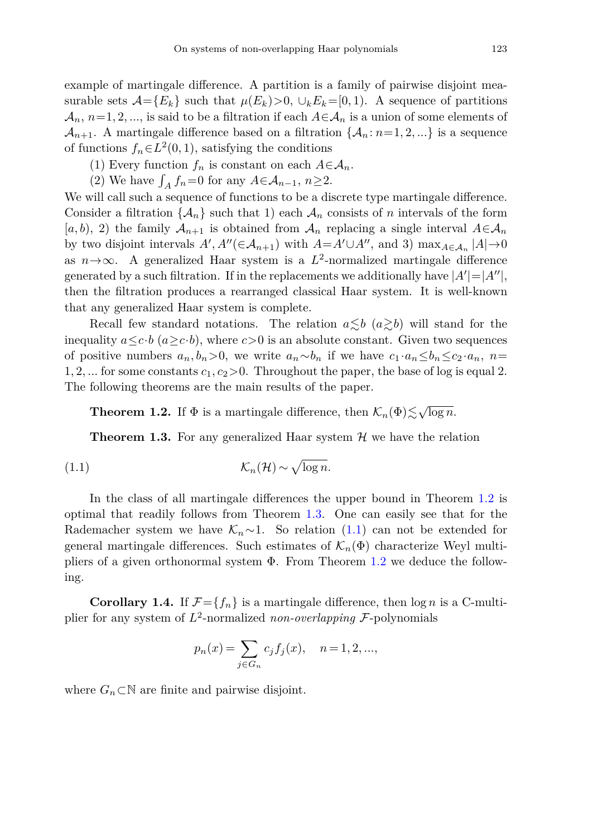example of martingale difference. A partition is a family of pairwise disjoint measurable sets  $\mathcal{A} = \{E_k\}$  such that  $\mu(E_k) > 0$ ,  $\cup_k E_k = [0, 1)$ . A sequence of partitions  $\mathcal{A}_n$ ,  $n=1,2,...$ , is said to be a filtration if each  $A \in \mathcal{A}_n$  is a union of some elements of  $\mathcal{A}_{n+1}$ . A martingale difference based on a filtration  $\{\mathcal{A}_n : n=1, 2, ...\}$  is a sequence of functions  $f_n \in L^2(0,1)$ , satisfying the conditions

- (1) Every function  $f_n$  is constant on each  $A \in \mathcal{A}_n$ .
- (2) We have  $\int_A f_n = 0$  for any  $A \in \mathcal{A}_{n-1}$ ,  $n \ge 2$ .

We will call such a sequence of functions to be a discrete type martingale difference. Consider a filtration  $\{\mathcal{A}_n\}$  such that 1) each  $\mathcal{A}_n$  consists of *n* intervals of the form  $[a, b), 2$  the family  $A_{n+1}$  is obtained from  $A_n$  replacing a single interval  $A \in A_n$ by two disjoint intervals  $A', A''(\in \mathcal{A}_{n+1})$  with  $A = A' \cup A''$ , and 3)  $\max_{A \in \mathcal{A}_n} |A| \to 0$ as  $n \rightarrow \infty$ . A generalized Haar system is a  $L^2$ -normalized martingale difference generated by a such filtration. If in the replacements we additionally have  $|A'| = |A''|$ , then the filtration produces a rearranged classical Haar system. It is well-known that any generalized Haar system is complete.

Recall few standard notations. The relation  $a \lesssim b \ (a \gtrsim b)$  will stand for the inequality  $a \leq c \cdot b$  ( $a \geq c \cdot b$ ), where  $c > 0$  is an absolute constant. Given two sequences of positive numbers  $a_n, b_n > 0$ , we write  $a_n \sim b_n$  if we have  $c_1 \cdot a_n \leq b_n \leq c_2 \cdot a_n$ ,  $n =$ 1, 2, ... for some constants  $c_1, c_2 > 0$ . Throughout the paper, the base of log is equal 2. The following theorems are the main results of the paper.

<span id="page-2-0"></span>**Theorem 1.2.** If  $\Phi$  is a martingale difference, then  $\mathcal{K}_n(\Phi) \lesssim \sqrt{\log n}$ .

<span id="page-2-1"></span>**Theorem 1.3.** For any generalized Haar system  $H$  we have the relation

$$
(1.1)\t\t\t\t\t\mathcal{K}_n(\mathcal{H}) \sim \sqrt{\log n}.
$$

In the class of all martingale differences the upper bound in Theorem [1.2](#page-2-0) is optimal that readily follows from Theorem [1.3.](#page-2-1) One can easily see that for the Rademacher system we have  $\mathcal{K}_n \sim 1$ . So relation [\(1.1\)](#page-2-2) can not be extended for general martingale differences. Such estimates of  $\mathcal{K}_n(\Phi)$  characterize Weyl multipliers of a given orthonormal system  $\Phi$ . From Theorem [1.2](#page-2-0) we deduce the following.

<span id="page-2-3"></span>**Corollary 1.4.** If  $\mathcal{F} = \{f_n\}$  is a martingale difference, then  $\log n$  is a C-multiplier for any system of  $L^2$ -normalized *non-overlapping*  $\mathcal{F}$ -polynomials

<span id="page-2-2"></span>
$$
p_n(x) = \sum_{j \in G_n} c_j f_j(x), \quad n = 1, 2, ...,
$$

where  $G_n \subset \mathbb{N}$  are finite and pairwise disjoint.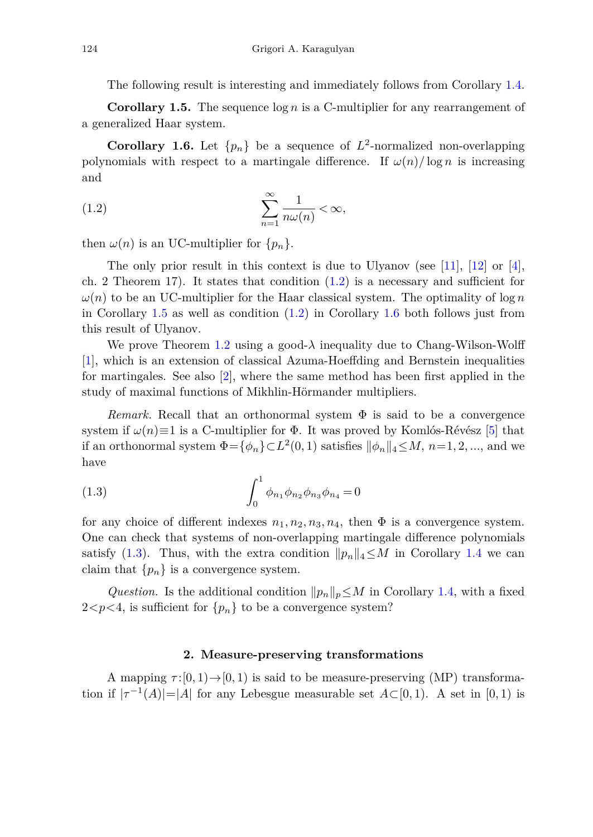The following result is interesting and immediately follows from Corollary [1.4.](#page-2-3)

<span id="page-3-1"></span>**Corollary 1.5.** The sequence log *n* is a C-multiplier for any rearrangement of a generalized Haar system.

<span id="page-3-2"></span>**Corollary 1.6.** Let  $\{p_n\}$  be a sequence of  $L^2$ -normalized non-overlapping polynomials with respect to a martingale difference. If  $\omega(n)/\log n$  is increasing and

<span id="page-3-0"></span>
$$
(1.2)\qquad \qquad \sum_{n=1}^{\infty}\frac{1}{n\omega(n)} < \infty,
$$

then  $\omega(n)$  is an UC-multiplier for  $\{p_n\}.$ 

The only prior result in this context is due to Ulyanov (see  $[11]$ ,  $[12]$  $[12]$  or  $[4]$  $[4]$ , ch. 2 Theorem 17). It states that condition  $(1.2)$  is a necessary and sufficient for  $\omega(n)$  to be an UC-multiplier for the Haar classical system. The optimality of log *n* in Corollary [1.5](#page-3-1) as well as condition [\(1.2\)](#page-3-0) in Corollary [1.6](#page-3-2) both follows just from this result of Ulyanov.

We prove Theorem [1.2](#page-2-0) using a good- $\lambda$  inequality due to Chang-Wilson-Wolff [\[1](#page-9-1)], which is an extension of classical Azuma-Hoeffding and Bernstein inequalities for martingales. See also [\[2](#page-9-2)], where the same method has been first applied in the study of maximal functions of Mikhlin-Hörmander multipliers.

*Remark.* Recall that an orthonormal system  $\Phi$  is said to be a convergence system if  $\omega(n) \equiv 1$  is a C-multiplier for  $\Phi$ . It was proved by Komlós-Révész [\[5](#page-9-3)] that if an orthonormal system  $\Phi = {\phi_n} \subset L^2(0,1)$  satisfies  $\|\phi_n\|_4 \leq M$ ,  $n=1,2,...$ , and we have

<span id="page-3-3"></span>(1.3) 
$$
\int_0^1 \phi_{n_1} \phi_{n_2} \phi_{n_3} \phi_{n_4} = 0
$$

for any choice of different indexes  $n_1, n_2, n_3, n_4$ , then  $\Phi$  is a convergence system. One can check that systems of non-overlapping martingale difference polynomials satisfy [\(1.3\)](#page-3-3). Thus, with the extra condition  $||p_n||_4 \leq M$  in Corollary [1.4](#page-2-3) we can claim that  ${p_n}$  is a convergence system.

*Question.* Is the additional condition  $||p_n||_p \leq M$  in Corollary [1.4,](#page-2-3) with a fixed  $2 < p < 4$ , is sufficient for  $\{p_n\}$  to be a convergence system?

## **2. Measure-preserving transformations**

A mapping  $\tau:[0,1)\rightarrow[0,1)$  is said to be measure-preserving (MP) transformation if  $|\tau^{-1}(A)|=|A|$  for any Lebesgue measurable set  $A\subset [0,1)$ . A set in [0,1) is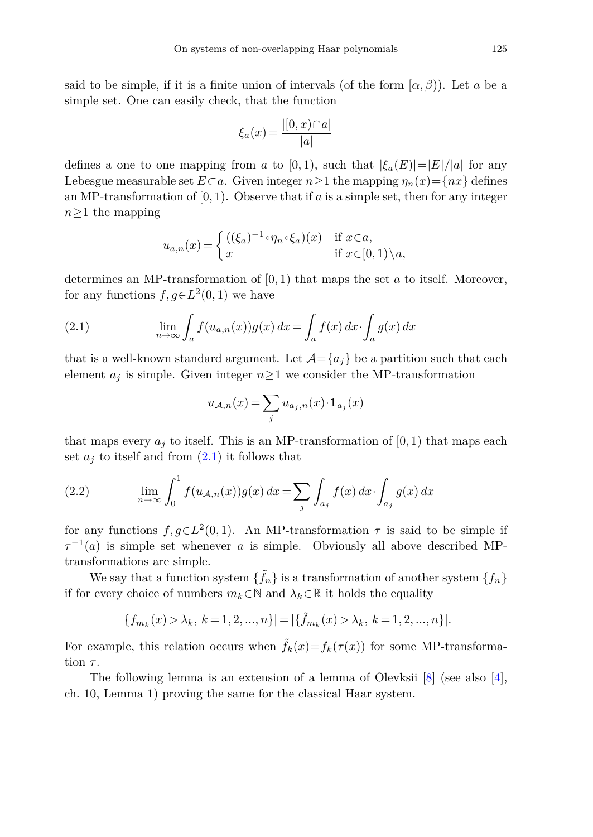said to be simple, if it is a finite union of intervals (of the form  $(\alpha, \beta)$ ). Let *a* be a simple set. One can easily check, that the function

$$
\xi_a(x) = \frac{|[0, x) \cap a|}{|a|}
$$

defines a one to one mapping from *a* to [0, 1), such that  $|\xi_a(E)|=|E|/|a|$  for any Lebesgue measurable set  $E \subset a$ . Given integer  $n > 1$  the mapping  $\eta_n(x) = \{nx\}$  defines an MP-transformation of  $[0, 1)$ . Observe that if  $a$  is a simple set, then for any integer *n*≥1 the mapping

$$
u_{a,n}(x) = \begin{cases} ((\xi_a)^{-1} \circ \eta_n \circ \xi_a)(x) & \text{if } x \in a, \\ x & \text{if } x \in [0,1) \setminus a, \end{cases}
$$

determines an MP-transformation of [0*,* 1) that maps the set *a* to itself. Moreover, for any functions  $f, g \in L^2(0, 1)$  we have

(2.1) 
$$
\lim_{n \to \infty} \int_{a} f(u_{a,n}(x)) g(x) dx = \int_{a} f(x) dx \cdot \int_{a} g(x) dx
$$

that is a well-known standard argument. Let  $\mathcal{A} = \{a_i\}$  be a partition such that each element  $a_j$  is simple. Given integer  $n \geq 1$  we consider the MP-transformation

<span id="page-4-1"></span><span id="page-4-0"></span>
$$
u_{\mathcal{A},n}(x) = \sum_{j} u_{a_j,n}(x) \cdot \mathbf{1}_{a_j}(x)
$$

that maps every  $a_j$  to itself. This is an MP-transformation of  $[0,1)$  that maps each set  $a_j$  to itself and from  $(2.1)$  it follows that

(2.2) 
$$
\lim_{n \to \infty} \int_0^1 f(u_{\mathcal{A},n}(x))g(x) dx = \sum_j \int_{a_j} f(x) dx \cdot \int_{a_j} g(x) dx
$$

for any functions  $f, g \in L^2(0,1)$ . An MP-transformation  $\tau$  is said to be simple if  $\tau^{-1}(a)$  is simple set whenever *a* is simple. Obviously all above described MPtransformations are simple.

We say that a function system  $\{f_n\}$  is a transformation of another system  $\{f_n\}$ if for every choice of numbers  $m_k \in \mathbb{N}$  and  $\lambda_k \in \mathbb{R}$  it holds the equality

$$
|\{f_{m_k}(x) > \lambda_k, \ k = 1, 2, ..., n\}| = |\{\tilde{f}_{m_k}(x) > \lambda_k, \ k = 1, 2, ..., n\}|.
$$

For example, this relation occurs when  $\tilde{f}_k(x) = f_k(\tau(x))$  for some MP-transformation *τ* .

The following lemma is an extension of a lemma of Olevksii [\[8](#page-10-3)] (see also [\[4\]](#page-9-0), ch. 10, Lemma 1) proving the same for the classical Haar system.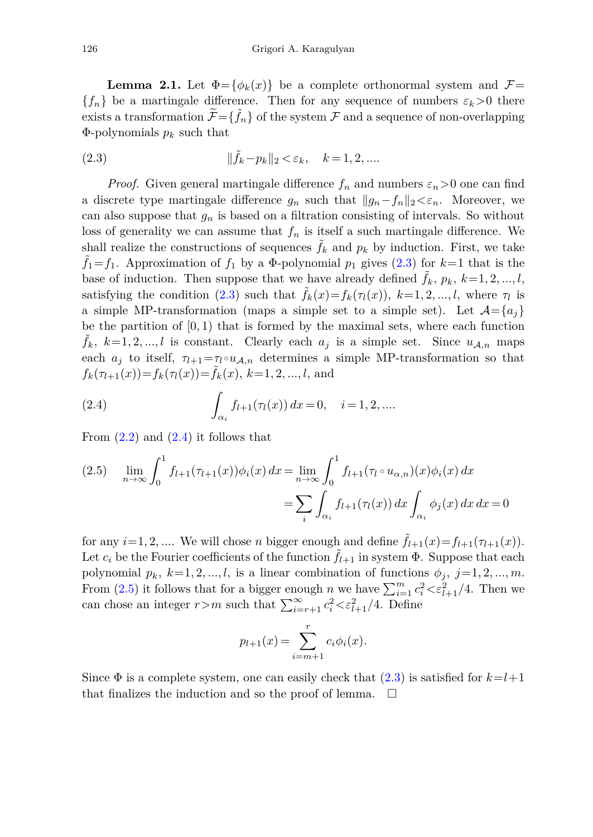<span id="page-5-3"></span>**Lemma 2.1.** Let  $\Phi = {\phi_k(x)}$  be a complete orthonormal system and  $\mathcal{F} =$  ${f_n}$  be a martingale difference. Then for any sequence of numbers  $\varepsilon_k > 0$  there exists a transformation  $\widetilde{\mathcal{F}} = {\widetilde{f}_n}$  of the system  $\mathcal F$  and a sequence of non-overlapping  $\Phi$ -polynomials  $p_k$  such that

<span id="page-5-0"></span>(2.3) 
$$
\|\tilde{f}_k - p_k\|_2 < \varepsilon_k, \quad k = 1, 2, \dots
$$

*Proof.* Given general martingale difference  $f_n$  and numbers  $\varepsilon_n > 0$  one can find a discrete type martingale difference  $g_n$  such that  $||g_n - f_n||_2 < \varepsilon_n$ . Moreover, we can also suppose that *g<sup>n</sup>* is based on a filtration consisting of intervals. So without loss of generality we can assume that  $f_n$  is itself a such martingale difference. We shall realize the constructions of sequences  $\tilde{f}_k$  and  $p_k$  by induction. First, we take  $\tilde{f}_1 = f_1$ . Approximation of  $f_1$  by a  $\Phi$ -polynomial  $p_1$  gives [\(2.3\)](#page-5-0) for  $k=1$  that is the base of induction. Then suppose that we have already defined  $f_k$ ,  $p_k$ ,  $k=1,2,...,l$ , satisfying the condition [\(2.3\)](#page-5-0) such that  $f_k(x) = f_k(\tau_l(x))$ ,  $k = 1, 2, ..., l$ , where  $\tau_l$  is a simple MP-transformation (maps a simple set to a simple set). Let  $\mathcal{A} = \{a_i\}$ be the partition of [0*,* 1) that is formed by the maximal sets, where each function  $\tilde{f}_k$ ,  $k=1,2,...,l$  is constant. Clearly each  $a_j$  is a simple set. Since  $u_{\mathcal{A},n}$  maps each  $a_i$  to itself,  $\tau_{l+1} = \tau_l \circ u_{\mathcal{A},n}$  determines a simple MP-transformation so that  $f_k(\tau_{l+1}(x)) = f_k(\tau_l(x)) = \tilde{f}_k(x), k = 1, 2, ..., l$ , and

<span id="page-5-1"></span>(2.4) 
$$
\int_{\alpha_i} f_{l+1}(\tau_l(x)) dx = 0, \quad i = 1, 2, ....
$$

From  $(2.2)$  and  $(2.4)$  it follows that

<span id="page-5-2"></span>(2.5) 
$$
\lim_{n \to \infty} \int_0^1 f_{l+1}(\tau_{l+1}(x)) \phi_i(x) dx = \lim_{n \to \infty} \int_0^1 f_{l+1}(\tau_l \circ u_{\alpha,n})(x) \phi_i(x) dx
$$

$$
= \sum_i \int_{\alpha_i} f_{l+1}(\tau_l(x)) dx \int_{\alpha_i} \phi_j(x) dx dx = 0
$$

for any  $i=1,2,...$  We will chose *n* bigger enough and define  $f_{l+1}(x) = f_{l+1}(\tau_{l+1}(x))$ . Let  $c_i$  be the Fourier coefficients of the function  $f_{l+1}$  in system  $\Phi$ . Suppose that each polynomial  $p_k$ ,  $k=1,2,...,l$ , is a linear combination of functions  $\phi_j$ ,  $j=1,2,...,m$ . From [\(2.5\)](#page-5-2) it follows that for a bigger enough *n* we have  $\sum_{i=1}^{m} c_i^2 < \varepsilon_{l+1}^2/4$ . Then we can chose an integer  $r > m$  such that  $\sum_{i=r+1}^{\infty} c_i^2 \langle \varepsilon_{l+1}^2/4$ . Define

$$
p_{l+1}(x) = \sum_{i=m+1}^{r} c_i \phi_i(x).
$$

Since  $\Phi$  is a complete system, one can easily check that [\(2.3\)](#page-5-0) is satisfied for  $k=l+1$ that finalizes the induction and so the proof of lemma.  $\Box$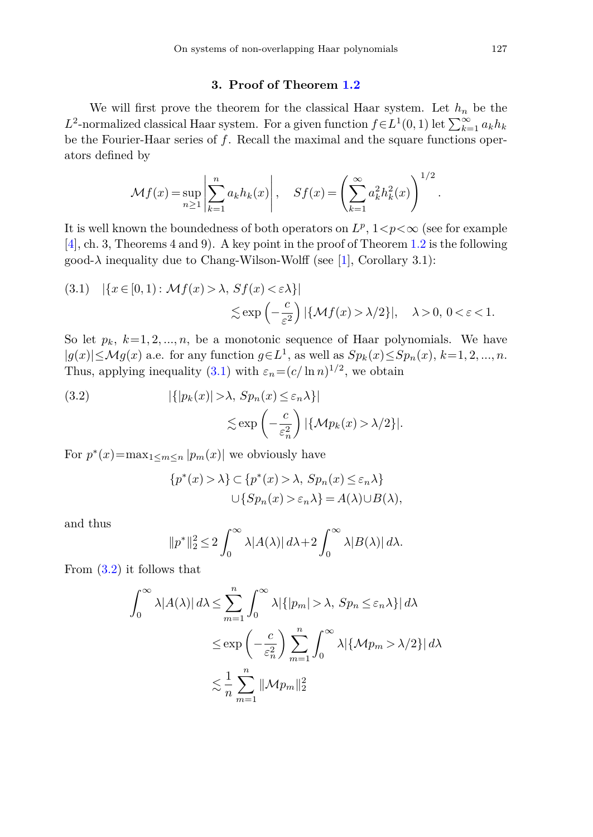### **3. Proof of Theorem [1.2](#page-2-0)**

We will first prove the theorem for the classical Haar system. Let  $h_n$  be the *L*<sup>2</sup>-normalized classical Haar system. For a given function  $f ∈ L<sup>1</sup>(0, 1)$  let  $\sum_{k=1}^{\infty} a_k h_k$ be the Fourier-Haar series of *f*. Recall the maximal and the square functions operators defined by

$$
\mathcal{M}f(x) = \sup_{n \ge 1} \left| \sum_{k=1}^{n} a_k h_k(x) \right|, \quad Sf(x) = \left( \sum_{k=1}^{\infty} a_k^2 h_k^2(x) \right)^{1/2}.
$$

It is well known the boundedness of both operators on  $L^p$ ,  $1 < p < \infty$  (see for example [\[4](#page-9-0)], ch. 3, Theorems 4 and 9). A key point in the proof of Theorem [1.2](#page-2-0) is the following good- $\lambda$  inequality due to Chang-Wilson-Wolff (see [\[1](#page-9-1)], Corollary 3.1):

<span id="page-6-0"></span>(3.1) 
$$
|\{x \in [0, 1) : \mathcal{M}f(x) > \lambda, Sf(x) < \varepsilon \lambda\}|
$$
  
 $\leq \exp\left(-\frac{c}{\varepsilon^2}\right) |\{\mathcal{M}f(x) > \lambda/2\}|, \quad \lambda > 0, 0 < \varepsilon < 1.$ 

So let  $p_k$ ,  $k=1,2,...,n$ , be a monotonic sequence of Haar polynomials. We have <sup>|</sup>*g*(*x*)|≤M*g*(*x*) a.e. for any function *<sup>g</sup>*∈*L*<sup>1</sup>, as well as *Spk*(*x*)≤*Spn*(*x*), *<sup>k</sup>*=1*,* <sup>2</sup>*, ..., n*. Thus, applying inequality [\(3.1\)](#page-6-0) with  $\varepsilon_n = (c/\ln n)^{1/2}$ , we obtain

<span id="page-6-1"></span>(3.2) 
$$
|\{|p_k(x)| > \lambda, Sp_n(x) \le \varepsilon_n \lambda\}|
$$

$$
\lesssim \exp\left(-\frac{c}{\varepsilon_n^2}\right)|\{\mathcal{M}p_k(x) > \lambda/2\}|.
$$

For  $p^*(x) = \max_{1 \le m \le n} |p_m(x)|$  we obviously have

$$
\{p^*(x) > \lambda\} \subset \{p^*(x) > \lambda, Sp_n(x) \le \varepsilon_n \lambda\}
$$
  

$$
\cup \{Sp_n(x) > \varepsilon_n \lambda\} = A(\lambda) \cup B(\lambda),
$$

and thus

$$
||p^*||_2^2 \le 2\int_0^\infty \lambda |A(\lambda)| d\lambda + 2\int_0^\infty \lambda |B(\lambda)| d\lambda.
$$

From [\(3.2\)](#page-6-1) it follows that

$$
\int_0^\infty \lambda |A(\lambda)| d\lambda \le \sum_{m=1}^n \int_0^\infty \lambda |\{|p_m| > \lambda, Sp_n \le \varepsilon_n \lambda\}| d\lambda
$$
  

$$
\le \exp\left(-\frac{c}{\varepsilon_n^2}\right) \sum_{m=1}^n \int_0^\infty \lambda |\{\mathcal{M}p_m > \lambda/2\}| d\lambda
$$
  

$$
\lesssim \frac{1}{n} \sum_{m=1}^n \|\mathcal{M}p_m\|_2^2
$$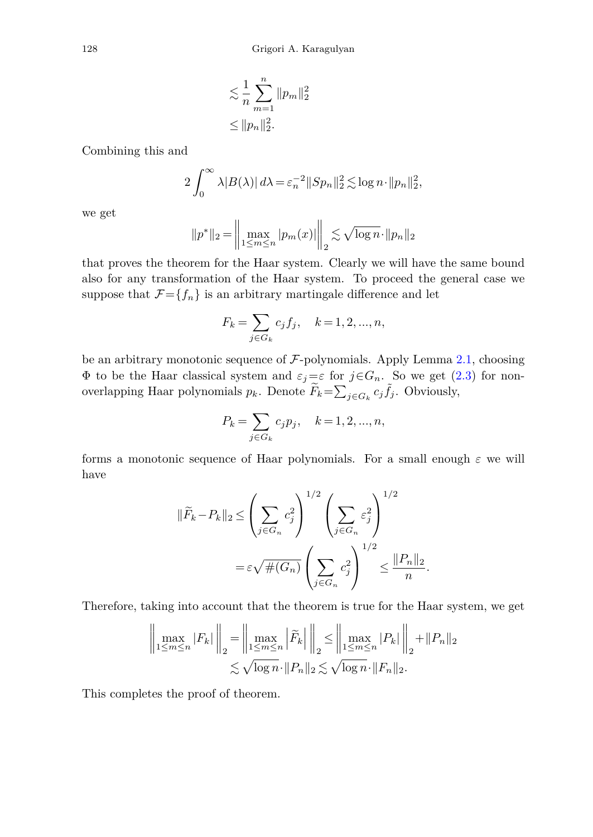$$
\leq \frac{1}{n} \sum_{m=1}^{n} \|p_m\|_2^2
$$
  

$$
\leq \|p_n\|_2^2.
$$

Combining this and

$$
2\int_0^\infty \lambda |B(\lambda)| d\lambda = \varepsilon_n^{-2} \|Sp_n\|_2^2 \lesssim \log n \cdot \|p_n\|_2^2,
$$

we get

$$
||p^*||_2 = \left\| \max_{1 \le m \le n} |p_m(x)| \right\|_2 \lesssim \sqrt{\log n} \cdot ||p_n||_2
$$

that proves the theorem for the Haar system. Clearly we will have the same bound also for any transformation of the Haar system. To proceed the general case we suppose that  $\mathcal{F}={f_n}$  is an arbitrary martingale difference and let

$$
F_k = \sum_{j \in G_k} c_j f_j, \quad k = 1, 2, ..., n,
$$

be an arbitrary monotonic sequence of  $\mathcal{F}$ -polynomials. Apply Lemma [2.1,](#page-5-3) choosing Φ to be the Haar classical system and *εj*=*ε* for *j*∈*Gn*. So we get [\(2.3\)](#page-5-0) for nonoverlapping Haar polynomials  $p_k$ . Denote  $\widetilde{F}_k = \sum_{j \in G_k} c_j \widetilde{f}_j$ . Obviously,

$$
P_k=\sum_{j\in G_k}c_jp_j,\quad k=1,2,...,n,
$$

forms a monotonic sequence of Haar polynomials. For a small enough *ε* we will have

$$
\|\widetilde{F}_k - P_k\|_2 \le \left(\sum_{j \in G_n} c_j^2\right)^{1/2} \left(\sum_{j \in G_n} \varepsilon_j^2\right)^{1/2}
$$

$$
= \varepsilon \sqrt{\#(G_n)} \left(\sum_{j \in G_n} c_j^2\right)^{1/2} \le \frac{\|P_n\|_2}{n}.
$$

Therefore, taking into account that the theorem is true for the Haar system, we get

$$
\left\| \max_{1 \le m \le n} |F_k| \right\|_2 = \left\| \max_{1 \le m \le n} \left| \widetilde{F}_k \right| \right\|_2 \le \left\| \max_{1 \le m \le n} |P_k| \right\|_2 + \|P_n\|_2 \n\lesssim \sqrt{\log n} \cdot \|P_n\|_2 \lesssim \sqrt{\log n} \cdot \|F_n\|_2.
$$

This completes the proof of theorem.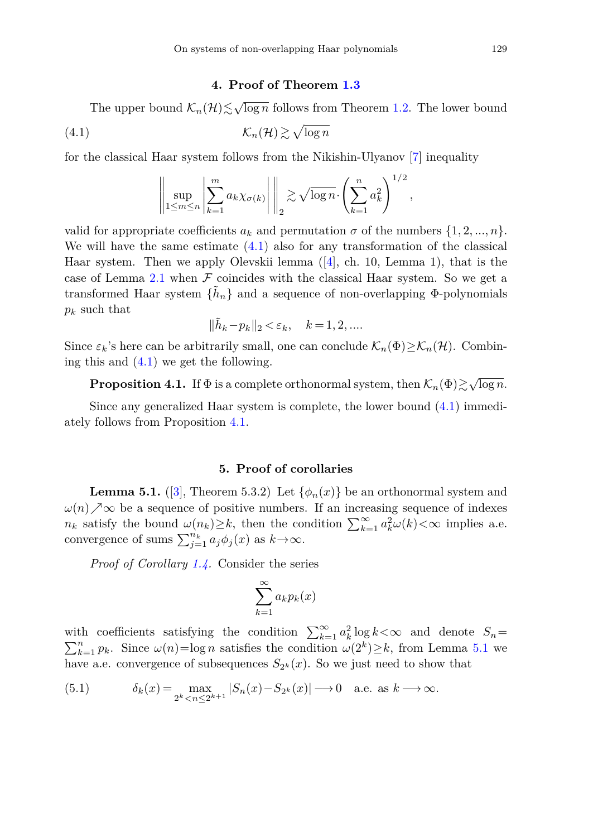### <span id="page-8-0"></span>**4. Proof of Theorem [1.3](#page-2-1)**

The upper bound  $\mathcal{K}_n(\mathcal{H}) \leq \sqrt{\log n}$  follows from Theorem [1.2.](#page-2-0) The lower bound

$$
(\mathbf{4.1}) \qquad \qquad \mathcal{K}_n(\mathcal{H}) \gtrsim \sqrt{\log n}
$$

for the classical Haar system follows from the Nikishin-Ulyanov [\[7](#page-10-2)] inequality

$$
\left\|\sup_{1\leq m\leq n}\left|\sum_{k=1}^m a_k\chi_{\sigma(k)}\right|\right\|_2 \gtrsim \sqrt{\log n}\cdot \left(\sum_{k=1}^n a_k^2\right)^{1/2},\,
$$

valid for appropriate coefficients  $a_k$  and permutation  $\sigma$  of the numbers  $\{1, 2, ..., n\}$ . We will have the same estimate  $(4.1)$  also for any transformation of the classical Haar system. Then we apply Olevskii lemma  $([4], ch. 10, Lemma 1)$  $([4], ch. 10, Lemma 1)$  $([4], ch. 10, Lemma 1)$ , that is the case of Lemma [2.1](#page-5-3) when  $\mathcal F$  coincides with the classical Haar system. So we get a transformed Haar system  $\{\tilde{h}_n\}$  and a sequence of non-overlapping  $\Phi$ -polynomials *p<sup>k</sup>* such that

$$
\|\tilde{h}_k - p_k\|_2 < \varepsilon_k, \quad k = 1, 2, \dots
$$

Since  $\varepsilon_k$ 's here can be arbitrarily small, one can conclude  $\mathcal{K}_n(\Phi) \geq \mathcal{K}_n(\mathcal{H})$ . Combining this and [\(4.1\)](#page-8-0) we get the following.

<span id="page-8-1"></span>**Proposition 4.1.** If  $\Phi$  is a complete orthonormal system, then  $\mathcal{K}_n(\Phi) \gtrsim \sqrt{\log n}$ .

Since any generalized Haar system is complete, the lower bound [\(4.1\)](#page-8-0) immediately follows from Proposition [4.1.](#page-8-1)

#### **5. Proof of corollaries**

<span id="page-8-2"></span>**Lemma 5.1.** ([\[3\]](#page-9-4), Theorem 5.3.2) Let  $\{\phi_n(x)\}\$ be an orthonormal system and  $\omega(n)$   $\sim$  be a sequence of positive numbers. If an increasing sequence of indexes *n<sub>k</sub>* satisfy the bound  $\omega(n_k) \geq k$ , then the condition  $\sum_{k=1}^{\infty} a_k^2 \omega(k) < \infty$  implies a.e. convergence of sums  $\sum_{j=1}^{n_k} a_j \phi_j(x)$  as  $k \to \infty$ .

*Proof of Corollary [1.4.](#page-2-3)* Consider the series

<span id="page-8-3"></span>
$$
\sum_{k=1}^{\infty} a_k p_k(x)
$$

with coefficients satisfying the condition  $\sum_{k=1}^{\infty} a_k^2$ with coefficients satisfying the condition  $\sum_{k=1}^{\infty} a_k^2 \log k < \infty$  and denote  $S_n = \sum_{k=1}^n p_k$ . Since  $\omega(n) = \log n$  satisfies the condition  $\omega(2^k) \geq k$ , from Lemma [5.1](#page-8-2) we have a.e. convergence of subsequences  $S_{2^k}(x)$ . So we just need to show that

(5.1) 
$$
\delta_k(x) = \max_{2^k < n \le 2^{k+1}} |S_n(x) - S_{2^k}(x)| \longrightarrow 0 \quad \text{a.e. as } k \longrightarrow \infty.
$$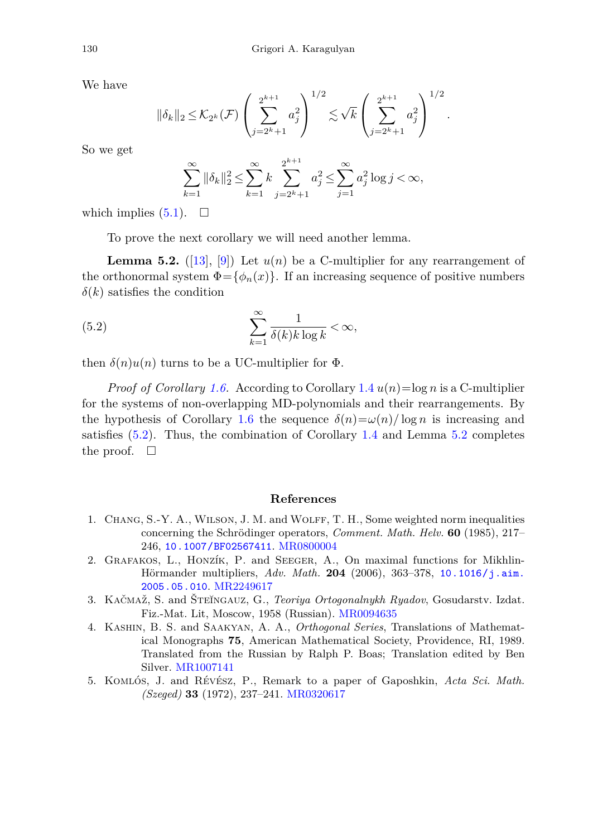We have

$$
\|\delta_k\|_2 \leq \mathcal{K}_{2^k}(\mathcal{F}) \left(\sum_{j=2^k+1}^{2^{k+1}} a_j^2\right)^{1/2} \lesssim \sqrt{k} \left(\sum_{j=2^k+1}^{2^{k+1}} a_j^2\right)^{1/2}.
$$

So we get

$$
\sum_{k=1}^{\infty} \|\delta_k\|_2^2 \le \sum_{k=1}^{\infty} k \sum_{j=2^k+1}^{2^{k+1}} a_j^2 \le \sum_{j=1}^{\infty} a_j^2 \log j < \infty,
$$

which implies  $(5.1)$ .  $\Box$ 

<span id="page-9-5"></span>To prove the next corollary we will need another lemma.

<span id="page-9-6"></span>**Lemma 5.2.** ([\[13\]](#page-10-6), [\[9](#page-10-7)]) Let  $u(n)$  be a C-multiplier for any rearrangement of the orthonormal system  $\Phi = {\phi_n(x)}$ . If an increasing sequence of positive numbers  $\delta(k)$  satisfies the condition

(5.2) 
$$
\sum_{k=1}^{\infty} \frac{1}{\delta(k)k \log k} < \infty,
$$

then  $\delta(n)u(n)$  turns to be a UC-multiplier for  $\Phi$ .

*Proof of Corollary [1.6.](#page-3-2)* According to Corollary [1.4](#page-2-3) *u*(*n*)=log *n* is a C-multiplier for the systems of non-overlapping MD-polynomials and their rearrangements. By the hypothesis of Corollary [1.6](#page-3-2) the sequence  $\delta(n) = \omega(n)/\log n$  is increasing and satisfies  $(5.2)$ . Thus, the combination of Corollary [1.4](#page-2-3) and Lemma [5.2](#page-9-6) completes the proof.  $\square$ 

### **References**

- <span id="page-9-1"></span>1. Chang, S.-Y. A., Wilson, J. M. and Wolff, T. H., Some weighted norm inequalities concerning the Schrödinger operators, *Comment. Math. Helv.* **60** (1985), 217– 246, [10.1007/BF02567411](http://dx.doi.org/10.1007/BF02567411). [MR0800004](http://www.ams.org/mathscinet-getitem?mr=0800004)
- <span id="page-9-2"></span>2. Grafakos, L., Honzík, P. and Seeger, A., On maximal functions for Mikhlin-Hörmander multipliers, *Adv. Math.* **204** (2006), 363–378, [10.1016/j.aim.](http://dx.doi.org/10.1016/j.aim.2005.05.010) [2005.05.010](http://dx.doi.org/10.1016/j.aim.2005.05.010). [MR2249617](http://www.ams.org/mathscinet-getitem?mr=2249617)
- <span id="page-9-4"></span>3. Kačmaž, S. and Šte˘ıngauz, G., *Teoriya Ortogonalnykh Ryadov*, Gosudarstv. Izdat. Fiz.-Mat. Lit, Moscow, 1958 (Russian). [MR0094635](http://www.ams.org/mathscinet-getitem?mr=0094635)
- <span id="page-9-0"></span>4. Kashin, B. S. and Saakyan, A. A., *Orthogonal Series*, Translations of Mathematical Monographs **75**, American Mathematical Society, Providence, RI, 1989. Translated from the Russian by Ralph P. Boas; Translation edited by Ben Silver. [MR1007141](http://www.ams.org/mathscinet-getitem?mr=1007141)
- <span id="page-9-3"></span>5. Komlós, J. and Révész, P., Remark to a paper of Gaposhkin, *Acta Sci. Math. (Szeged)* **33** (1972), 237–241. [MR0320617](http://www.ams.org/mathscinet-getitem?mr=0320617)